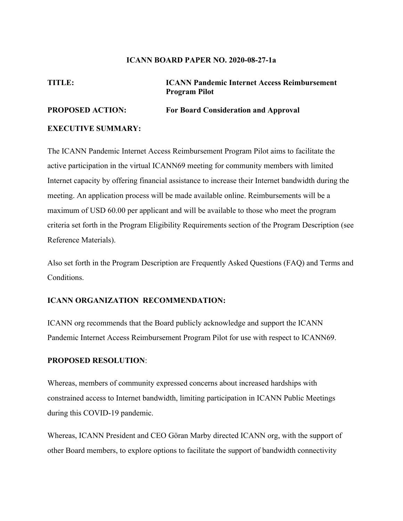#### **ICANN BOARD PAPER NO. 2020-08-27-1a**

**TITLE: ICANN Pandemic Internet Access Reimbursement Program Pilot**

#### **PROPOSED ACTION: For Board Consideration and Approval**

#### **EXECUTIVE SUMMARY:**

The ICANN Pandemic Internet Access Reimbursement Program Pilot aims to facilitate the active participation in the virtual ICANN69 meeting for community members with limited Internet capacity by offering financial assistance to increase their Internet bandwidth during the meeting. An application process will be made available online. Reimbursements will be a maximum of USD 60.00 per applicant and will be available to those who meet the program criteria set forth in the Program Eligibility Requirements section of the Program Description (see Reference Materials).

Also set forth in the Program Description are Frequently Asked Questions (FAQ) and Terms and Conditions.

#### **ICANN ORGANIZATION RECOMMENDATION:**

ICANN org recommends that the Board publicly acknowledge and support the ICANN Pandemic Internet Access Reimbursement Program Pilot for use with respect to ICANN69.

#### **PROPOSED RESOLUTION**:

Whereas, members of community expressed concerns about increased hardships with constrained access to Internet bandwidth, limiting participation in ICANN Public Meetings during this COVID-19 pandemic.

Whereas, ICANN President and CEO Göran Marby directed ICANN org, with the support of other Board members, to explore options to facilitate the support of bandwidth connectivity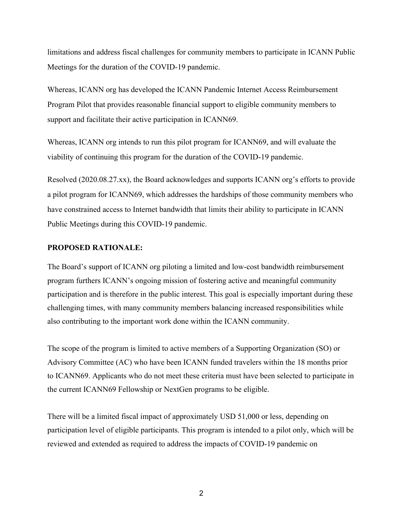limitations and address fiscal challenges for community members to participate in ICANN Public Meetings for the duration of the COVID-19 pandemic.

Whereas, ICANN org has developed the ICANN Pandemic Internet Access Reimbursement Program Pilot that provides reasonable financial support to eligible community members to support and facilitate their active participation in ICANN69.

Whereas, ICANN org intends to run this pilot program for ICANN69, and will evaluate the viability of continuing this program for the duration of the COVID-19 pandemic.

Resolved (2020.08.27.xx), the Board acknowledges and supports ICANN org's efforts to provide a pilot program for ICANN69, which addresses the hardships of those community members who have constrained access to Internet bandwidth that limits their ability to participate in ICANN Public Meetings during this COVID-19 pandemic.

#### **PROPOSED RATIONALE:**

The Board's support of ICANN org piloting a limited and low-cost bandwidth reimbursement program furthers ICANN's ongoing mission of fostering active and meaningful community participation and is therefore in the public interest. This goal is especially important during these challenging times, with many community members balancing increased responsibilities while also contributing to the important work done within the ICANN community.

The scope of the program is limited to active members of a Supporting Organization (SO) or Advisory Committee (AC) who have been ICANN funded travelers within the 18 months prior to ICANN69. Applicants who do not meet these criteria must have been selected to participate in the current ICANN69 Fellowship or NextGen programs to be eligible.

There will be a limited fiscal impact of approximately USD 51,000 or less, depending on participation level of eligible participants. This program is intended to a pilot only, which will be reviewed and extended as required to address the impacts of COVID-19 pandemic on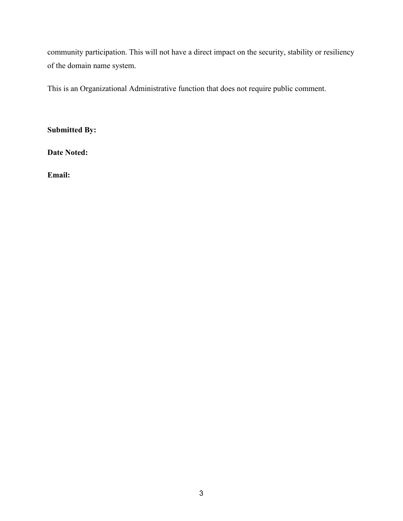community participation. This will not have a direct impact on the security, stability or resiliency of the domain name system.

This is an Organizational Administrative function that does not require public comment.

**Submitted By:** 

**Date Noted:**

**Email:**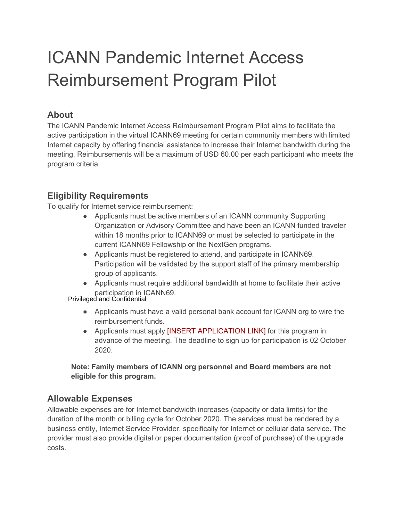# ICANN Pandemic Internet Access Reimbursement Program Pilot

#### **About**

The ICANN Pandemic Internet Access Reimbursement Program Pilot aims to facilitate the active participation in the virtual ICANN69 meeting for certain community members with limited Internet capacity by offering financial assistance to increase their Internet bandwidth during the meeting. Reimbursements will be a maximum of USD 60.00 per each participant who meets the program criteria.

#### **Eligibility Requirements**

To qualify for Internet service reimbursement:

- Applicants must be active members of an ICANN community Supporting Organization or Advisory Committee and have been an ICANN funded traveler within 18 months prior to ICANN69 or must be selected to participate in the current ICANN69 Fellowship or the NextGen programs.
- Applicants must be registered to attend, and participate in ICANN69. Participation will be validated by the support staff of the primary membership group of applicants.
- Applicants must require additional bandwidth at home to facilitate their active participation in ICANN69.

Privileged and Confidential

- Applicants must have a valid personal bank account for ICANN org to wire the reimbursement funds.
- Applicants must apply **[INSERT APPLICATION LINK]** for this program in advance of the meeting. The deadline to sign up for participation is 02 October 2020.

**Note: Family members of ICANN org personnel and Board members are not eligible for this program.**

#### **Allowable Expenses**

Allowable expenses are for Internet bandwidth increases (capacity or data limits) for the duration of the month or billing cycle for October 2020. The services must be rendered by a business entity, Internet Service Provider, specifically for Internet or cellular data service. The provider must also provide digital or paper documentation (proof of purchase) of the upgrade costs.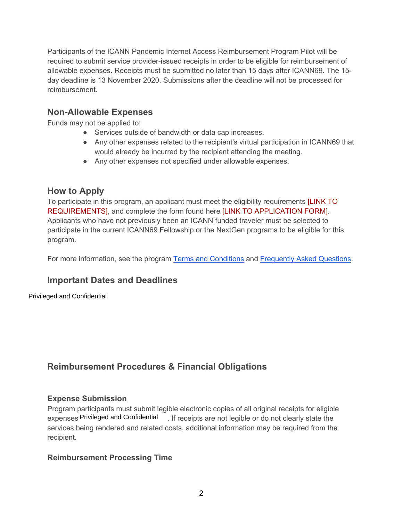Participants of the ICANN Pandemic Internet Access Reimbursement Program Pilot will be required to submit service provider-issued receipts in order to be eligible for reimbursement of allowable expenses. Receipts must be submitted no later than 15 days after ICANN69. The 15 day deadline is 13 November 2020. Submissions after the deadline will not be processed for reimbursement.

#### **Non-Allowable Expenses**

Funds may not be applied to:

- Services outside of bandwidth or data cap increases.
- Any other expenses related to the recipient's virtual participation in ICANN69 that would already be incurred by the recipient attending the meeting.
- Any other expenses not specified under allowable expenses.

#### **How to Apply**

To participate in this program, an applicant must meet the eligibility requirements [LINK TO REQUIREMENTS], and complete the form found here [LINK TO APPLICATION FORM]. Applicants who have not previously been an ICANN funded traveler must be selected to participate in the current ICANN69 Fellowship or the NextGen programs to be eligible for this program.

For more information, see the program Terms and Conditions and Frequently Asked Questions.

### **Important Dates and Deadlines**

Privileged and Confidential

### **Reimbursement Procedures & Financial Obligations**

#### **Expense Submission**

Program participants must submit legible electronic copies of all original receipts for eligible expenses Privileged and Confidential [1]. If receipts are not legible or do not clearly state the services being rendered and related costs, additional information may be required from the recipient.

#### **Reimbursement Processing Time**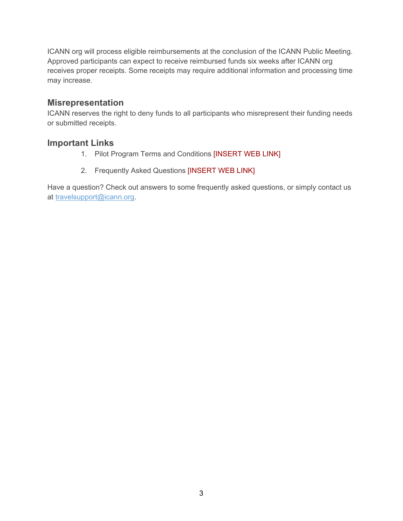ICANN org will process eligible reimbursements at the conclusion of the ICANN Public Meeting. Approved participants can expect to receive reimbursed funds six weeks after ICANN org receives proper receipts. Some receipts may require additional information and processing time may increase.

#### **Misrepresentation**

ICANN reserves the right to deny funds to all participants who misrepresent their funding needs or submitted receipts.

#### **Important Links**

- 1. Pilot Program Terms and Conditions [INSERT WEB LINK]
- 2. Frequently Asked Questions [INSERT WEB LINK]

Have a question? Check out answers to some frequently asked questions, or simply contact us at travelsupport@icann.org.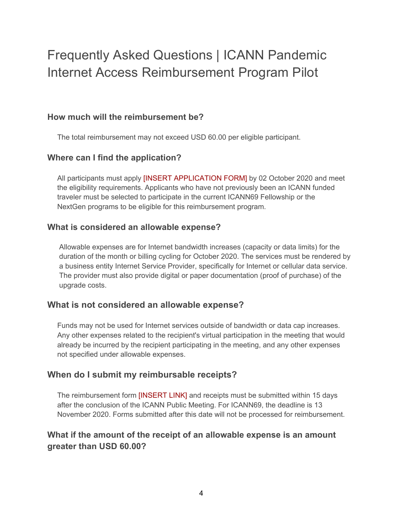## Frequently Asked Questions | ICANN Pandemic Internet Access Reimbursement Program Pilot

#### **How much will the reimbursement be?**

The total reimbursement may not exceed USD 60.00 per eligible participant.

#### **Where can I find the application?**

All participants must apply [INSERT APPLICATION FORM] by 02 October 2020 and meet the eligibility requirements. Applicants who have not previously been an ICANN funded traveler must be selected to participate in the current ICANN69 Fellowship or the NextGen programs to be eligible for this reimbursement program.

#### **What is considered an allowable expense?**

Allowable expenses are for Internet bandwidth increases (capacity or data limits) for the duration of the month or billing cycling for October 2020. The services must be rendered by a business entity Internet Service Provider, specifically for Internet or cellular data service. The provider must also provide digital or paper documentation (proof of purchase) of the upgrade costs.

#### **What is not considered an allowable expense?**

Funds may not be used for Internet services outside of bandwidth or data cap increases. Any other expenses related to the recipient's virtual participation in the meeting that would already be incurred by the recipient participating in the meeting, and any other expenses not specified under allowable expenses.

#### **When do I submit my reimbursable receipts?**

The reimbursement form [INSERT LINK] and receipts must be submitted within 15 days after the conclusion of the ICANN Public Meeting. For ICANN69, the deadline is 13 November 2020. Forms submitted after this date will not be processed for reimbursement.

#### **What if the amount of the receipt of an allowable expense is an amount greater than USD 60.00?**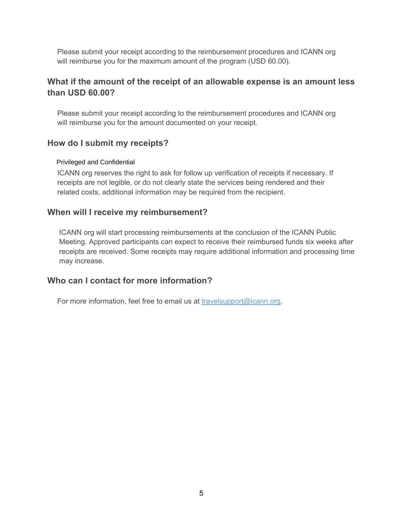Please submit your receipt according to the reimbursement procedures and ICANN org will reimburse you for the maximum amount of the program (USD 60.00).

#### **What if the amount of the receipt of an allowable expense is an amount less than USD 60.00?**

Please submit your receipt according to the reimbursement procedures and ICANN org will reimburse you for the amount documented on your receipt.

#### **How do I submit my receipts?**

#### Privileged and Confidential

ICANN org reserves the right to ask for follow up verification of receipts if necessary. If receipts are not legible, or do not clearly state the services being rendered and their related costs, additional information may be required from the recipient.

#### **When will I receive my reimbursement?**

ICANN org will start processing reimbursements at the conclusion of the ICANN Public Meeting. Approved participants can expect to receive their reimbursed funds six weeks after receipts are received. Some receipts may require additional information and processing time may increase.

#### **Who can I contact for more information?**

For more information, feel free to email us at travelsupport@icann.org.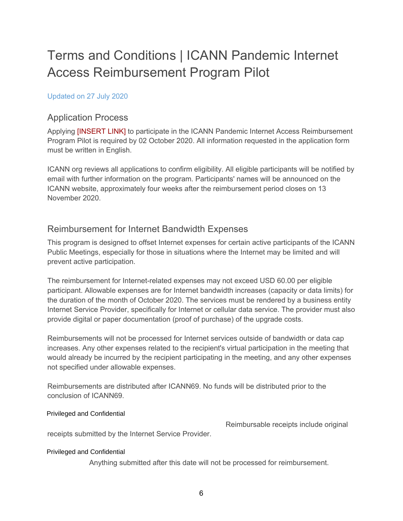# Terms and Conditions | ICANN Pandemic Internet Access Reimbursement Program Pilot

#### Updated on 27 July 2020

#### Application Process

Applying [INSERT LINK] to participate in the ICANN Pandemic Internet Access Reimbursement Program Pilot is required by 02 October 2020. All information requested in the application form must be written in English.

ICANN org reviews all applications to confirm eligibility. All eligible participants will be notified by email with further information on the program. Participants' names will be announced on the ICANN website, approximately four weeks after the reimbursement period closes on 13 November 2020.

#### Reimbursement for Internet Bandwidth Expenses

This program is designed to offset Internet expenses for certain active participants of the ICANN Public Meetings, especially for those in situations where the Internet may be limited and will prevent active participation.

The reimbursement for Internet-related expenses may not exceed USD 60.00 per eligible participant. Allowable expenses are for Internet bandwidth increases (capacity or data limits) for the duration of the month of October 2020. The services must be rendered by a business entity Internet Service Provider, specifically for Internet or cellular data service. The provider must also provide digital or paper documentation (proof of purchase) of the upgrade costs.

Reimbursements will not be processed for Internet services outside of bandwidth or data cap increases. Any other expenses related to the recipient's virtual participation in the meeting that would already be incurred by the recipient participating in the meeting, and any other expenses not specified under allowable expenses.

Reimbursements are distributed after ICANN69. No funds will be distributed prior to the conclusion of ICANN69.

#### Privileged and Confidential

Reimbursable receipts include original

receipts submitted by the Internet Service Provider.

#### Privileged and Confidential

Anything submitted after this date will not be processed for reimbursement.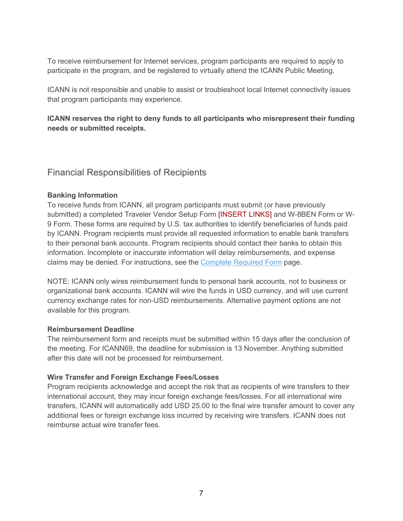To receive reimbursement for Internet services, program participants are required to apply to participate in the program, and be registered to virtually attend the ICANN Public Meeting.

ICANN is not responsible and unable to assist or troubleshoot local Internet connectivity issues that program participants may experience.

**ICANN reserves the right to deny funds to all participants who misrepresent their funding needs or submitted receipts.**

Financial Responsibilities of Recipients

#### **Banking Information**

To receive funds from ICANN, all program participants must submit (or have previously submitted) a completed Traveler Vendor Setup Form [INSERT LINKS] and W-8BEN Form or W-9 Form. These forms are required by U.S. tax authorities to identify beneficiaries of funds paid by ICANN. Program recipients must provide all requested information to enable bank transfers to their personal bank accounts. Program recipients should contact their banks to obtain this information. Incomplete or inaccurate information will delay reimbursements, and expense claims may be denied. For instructions, see the Complete Required Form page.

NOTE: ICANN only wires reimbursement funds to personal bank accounts, not to business or organizational bank accounts. ICANN will wire the funds in USD currency, and will use current currency exchange rates for non-USD reimbursements. Alternative payment options are not available for this program.

#### **Reimbursement Deadline**

The reimbursement form and receipts must be submitted within 15 days after the conclusion of the meeting. For ICANN69, the deadline for submission is 13 November. Anything submitted after this date will not be processed for reimbursement.

#### **Wire Transfer and Foreign Exchange Fees/Losses**

Program recipients acknowledge and accept the risk that as recipients of wire transfers to their international account, they may incur foreign exchange fees/losses. For all international wire transfers, ICANN will automatically add USD 25.00 to the final wire transfer amount to cover any additional fees or foreign exchange loss incurred by receiving wire transfers. ICANN does not reimburse actual wire transfer fees.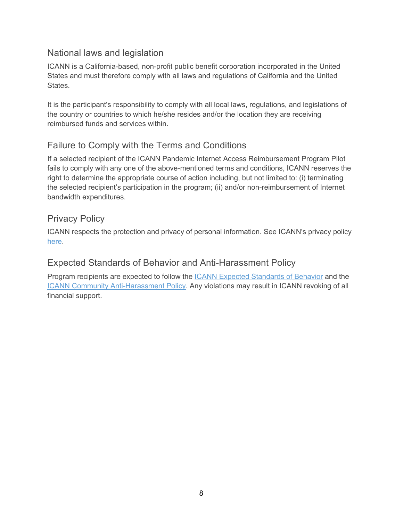#### National laws and legislation

ICANN is a California-based, non-profit public benefit corporation incorporated in the United States and must therefore comply with all laws and regulations of California and the United States.

It is the participant's responsibility to comply with all local laws, regulations, and legislations of the country or countries to which he/she resides and/or the location they are receiving reimbursed funds and services within.

### Failure to Comply with the Terms and Conditions

If a selected recipient of the ICANN Pandemic Internet Access Reimbursement Program Pilot fails to comply with any one of the above-mentioned terms and conditions, ICANN reserves the right to determine the appropriate course of action including, but not limited to: (i) terminating the selected recipient's participation in the program; (ii) and/or non-reimbursement of Internet bandwidth expenditures.

#### Privacy Policy

ICANN respects the protection and privacy of personal information. See ICANN's privacy policy here.

#### Expected Standards of Behavior and Anti-Harassment Policy

Program recipients are expected to follow the ICANN Expected Standards of Behavior and the ICANN Community Anti-Harassment Policy. Any violations may result in ICANN revoking of all financial support.